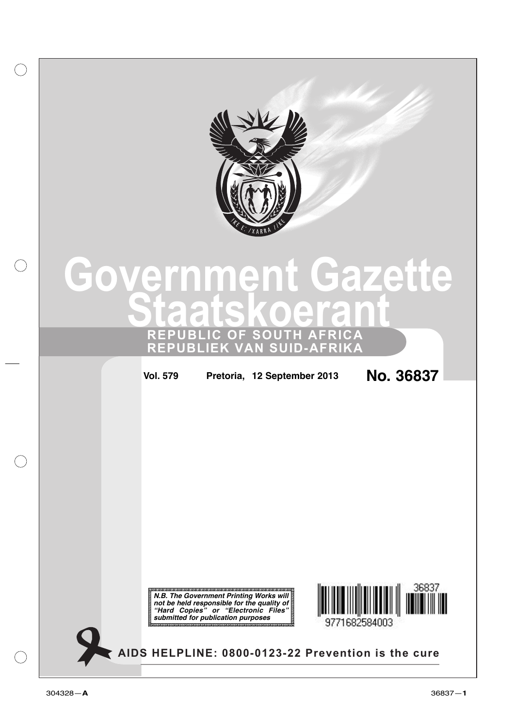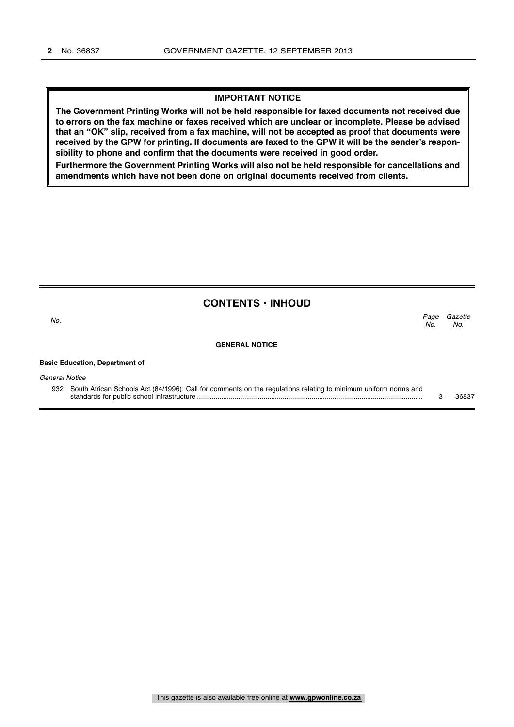#### **IMPORTANT NOTICE**

**The Government Printing Works will not be held responsible for faxed documents not received due to errors on the fax machine or faxes received which are unclear or incomplete. Please be advised that an "OK" slip, received from a fax machine, will not be accepted as proof that documents were received by the GPW for printing. If documents are faxed to the GPW it will be the sender's responsibility to phone and confirm that the documents were received in good order.**

**Furthermore the Government Printing Works will also not be held responsible for cancellations and amendments which have not been done on original documents received from clients.**

| <b>CONTENTS · INHOUD</b> |  |
|--------------------------|--|
|--------------------------|--|

| No. | No. | Page Gazette<br>No. |
|-----|-----|---------------------|
|     |     |                     |

**GENERAL NOTICE**

#### **Basic Education, Department of**

General Notice

932 South African Schools Act (84/1996): Call for comments on the regulations relating to minimum uniform norms and standards for public school infrastructure...................................................................................................................... 3 36837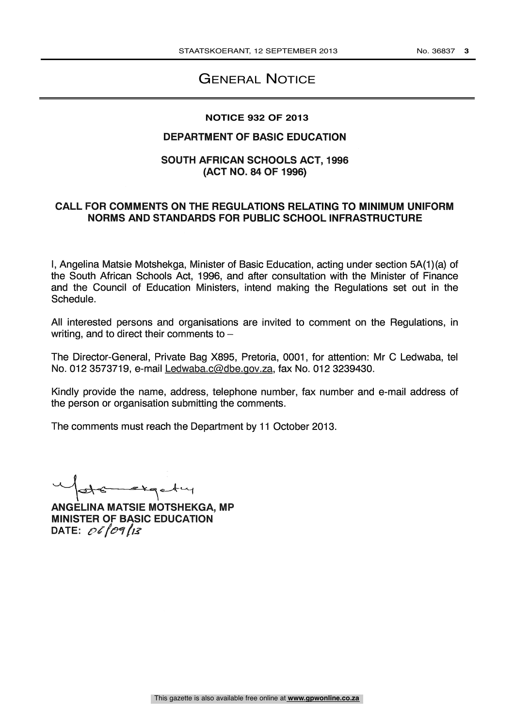# GENERAL NOTICE

#### **NOTICE 932 OF 2013**

#### DEPARTMENT OF BASIC EDUCATION

### SOUTH AFRICAN SCHOOLS ACT, 1996 (ACT NO. 84 OF 1996)

### CALL FOR COMMENTS ON THE REGULATIONS RELATING TO MINIMUM UNIFORM NORMS AND STANDARDS FOR PUBLIC SCHOOL INFRASTRUCTURE

I, Angelina Matsie Motshekga, Minister of Basic Education, acting under section 5A(1)(a) of the South African Schools Act, 1996, and after consultation with the Minister of Finance and the Council of Education Ministers, intend making the Regulations set out in the Schedule.

All interested persons and organisations are invited to comment on the Regulations, in writing, and to direct their comments to  $-$ 

The Director-General, Private Bag X895, Pretoria, 0001, for attention: Mr C Ledwaba, tel No. 012 3573719, e-mail Ledwaba.c@dbe.gov.za, fax No. 012 3239430.

Kindly provide the name, address, telephone number, fax number and e-mail address of the person or organisation submitting the comments.

The comments must reach the Department by 11 October 2013.

expeding

ANGELINA MATSIE MOTSHEKGA, MP MINISTER OF BASIC EDUCATION DATE:  $of109113$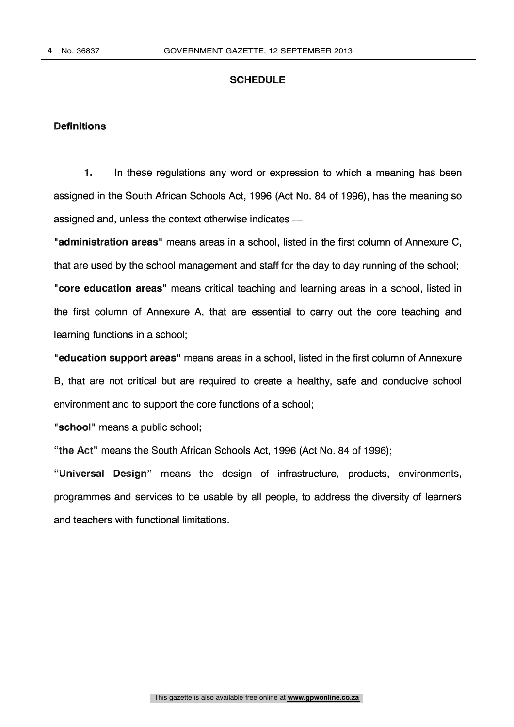### **SCHEDULE**

#### **Definitions**

1. In these regulations any word or expression to which a meaning has been assigned in the South African Schools Act, 1996 (Act No. 84 of 1996), has the meaning so assigned and, unless the context otherwise indicates  $-$ 

"administration areas" means areas in a school, listed in the first column of Annexure C, that are used by the school management and staff for the day to day running of the school; "core education areas" means critical teaching and learning areas in a school, listed in the first column of Annexure A, that are essential to carry out the core teaching and learning functions in a school;

"education support areas" means areas in a school, listed in the first column of Annexure B, that are not critical but are required to create a healthy, safe and conducive school environment and to support the core functions of a school;

"school" means a public school;

"the Act" means the South African Schools Act, 1996 (Act No. 84 of 1996);

"Universal Design" means the design of infrastructure, products, environments, programmes and services to be usable by all people, to address the diversity of learners and teachers with functional limitations.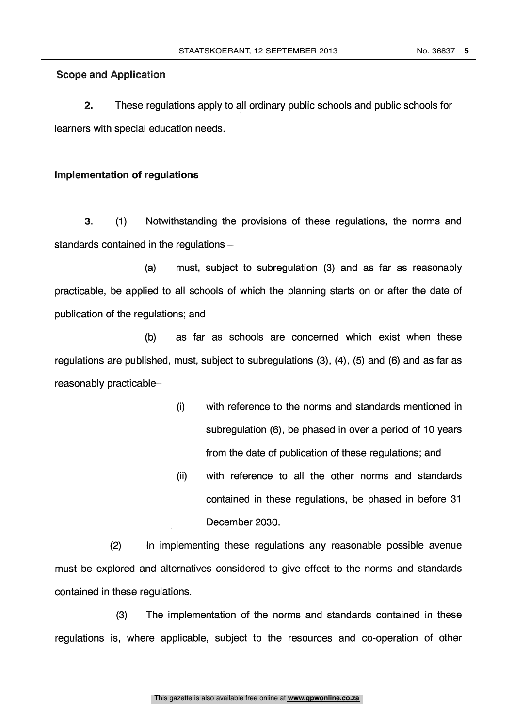### Scope and Application

2. These regulations apply to all ordinary public schools and public schools for learners with special education needs.

#### Implementation of regulations

3. (1) Notwithstanding the provisions of these regulations, the norms and standards contained in the regulations  $-$ 

(a) must, subject to subregulation (3) and as far as reasonably practicable, be applied to all schools of which the planning starts on or after the date of publication of the regulations; and

(b) as far as schools are concerned which exist when these regulations are published, must, subject to subregulations (3), (4), (5) and (6) and as far as reasonably practicable-

- (i) with reference to the norms and standards mentioned in subregulation (6), be phased in over a period of 10 years from the date of publication of these regulations; and
- (ii) with reference to all the other norms and standards contained in these regulations, be phased in before 31 December 2030.

(2) In implementing these regulations any reasonable possible avenue must be explored and alternatives considered to give effect to the norms and standards contained in these regulations.

(3) The implementation of the norms and standards contained in these regulations is, where applicable, subject to the resources and co-operation of other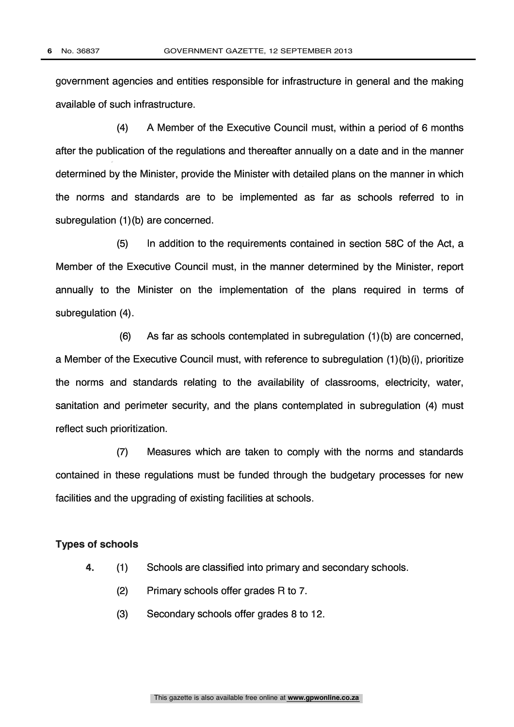government agencies and entities responsible for infrastructure in general and the making available of such infrastructure.

(4) A Member of the Executive Council must, within a period of 6 months after the publication of the regulations and thereafter annually on a date and in the manner determined by the Minister, provide the Minister with detailed plans on the manner in which the norms and standards are to be implemented as far as schools referred to in subregulation (1)(b) are concerned.

(5) In addition to the requirements contained in section 58C of the Act, a Member of the Executive Council must, in the manner determined by the Minister, report annually to the Minister on the implementation of the plans required in terms of subregulation (4).

(6) As far as schools contemplated in subregulation (1)(b) are concerned, a Member of the Executive Council must, with reference to subregulation (1)(b)(i), prioritize the norms and standards relating to the availability of classrooms, electricity, water, sanitation and perimeter security, and the plans contemplated in subregulation (4) must reflect such prioritization.

(7) Measures which are taken to comply with the norms and standards contained in these regulations must be funded through the budgetary processes for new facilities and the upgrading of existing facilities at schools.

### Types of schools

- 4. (1) Schools are classified into primary and secondary schools.
	- (2) Primary schools offer grades R to 7.
	- (3) Secondary schools offer grades 8 to 12.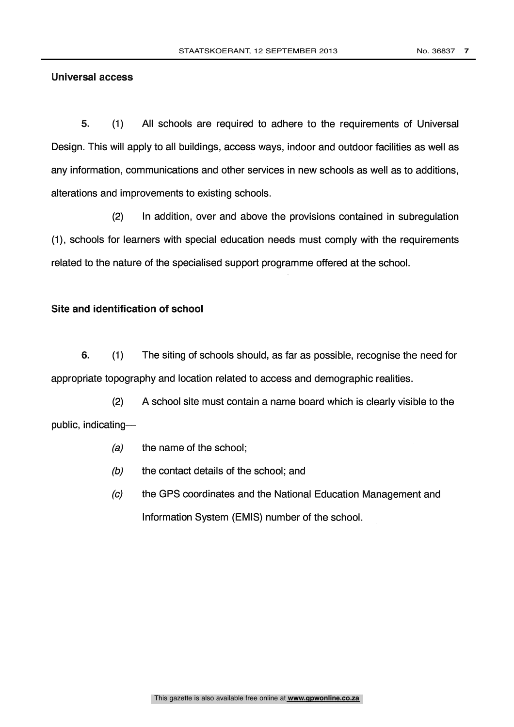### Universal access

5. (1) All schools are required to adhere to the requirements of Universal Design. This will apply to all buildings, access ways, indoor and outdoor facilities as well as any information, communications and other services in new schools as well as to additions, alterations and improvements to existing schools.

(2) In addition, over and above the provisions contained in subregulation (1), schools for learners with special education needs must comply with the requirements related to the nature of the specialised support programme offered at the school.

### Site and identification of school

6. (1) The siting of schools should, as far as possible, recognise the need for appropriate topography and location related to access and demographic realities.

(2) A school site must contain a name board which is clearly visible to the public, indicating-

- (a) the name of the school;
- (b) the contact details of the school; and
- (c) the GPS coordinates and the National Education Management and Information System (EMIS) number of the school.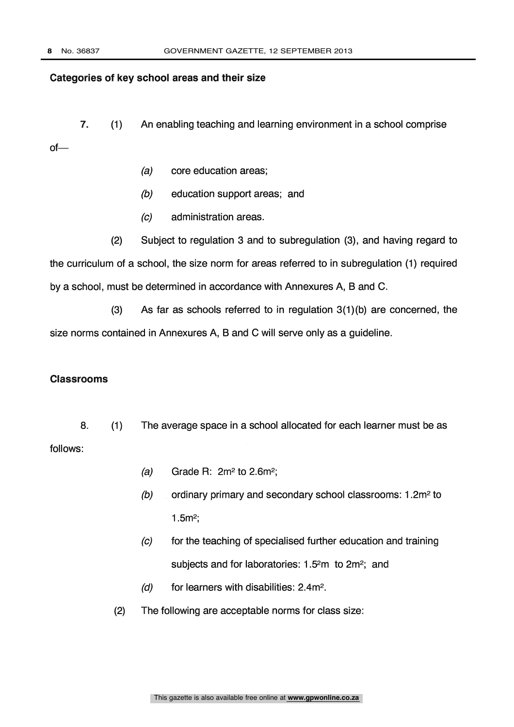### Categories of key school areas and their size

7. (1) An enabling teaching and learning environment in a school comprise  $of-$ 

- (a) core education areas;
- (b) education support areas; and
- (c) administration areas.

(2) Subject to regulation 3 and to subregulation (3), and having regard to the curriculum of a school, the size norm for areas referred to in subregulation (1) required by a school, must be determined in accordance with Annexures A, B and C.

(3) As far as schools referred to in regulation 3(1)(b) are concerned, the size norms contained in Annexures A, B and C will serve only as a guideline.

#### Classrooms

8. (1) The average space in a school allocated for each learner must be as follows:

- (a) Grade R:  $2m^2$  to  $2.6m^2$ ;
- $(b)$  ordinary primary and secondary school classrooms: 1.2m<sup>2</sup> to 1.5m2;
- (c) for the teaching of specialised further education and training subjects and for laboratories: 1.5<sup>2</sup>m to 2m<sup>2</sup>; and
- (d) for learners with disabilities: 2.4m2.
- (2) The following are acceptable norms for class size: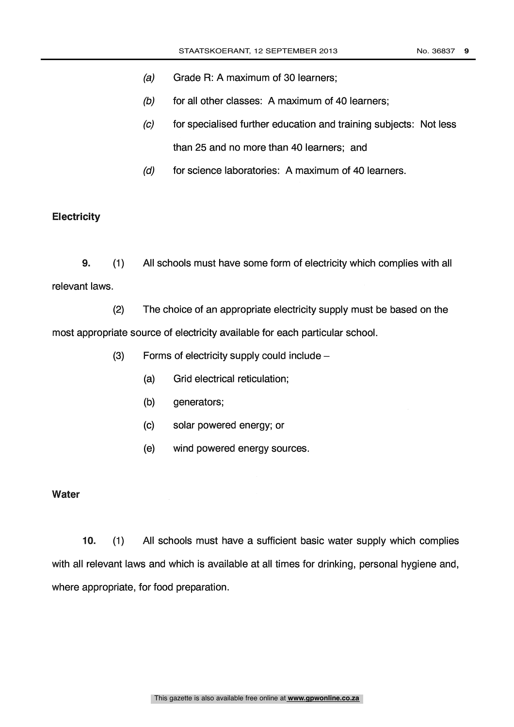- (a) Grade R: A maximum of 30 learners;
- (b) for all other classes: A maximum of 40 learners;
- (c) for specialised further education and training subjects: Not less than 25 and no more than 40 learners; and
- (d) for science laboratories: A maximum of 40 learners.

### **Electricity**

9. (1) All schools must have some form of electricity which complies with all relevant laws.

(2) The choice of an appropriate electricity supply must be based on the most appropriate source of electricity available for each particular school.

- (3) Forms of electricity supply could include  $-$ 
	- (a) Grid electrical reticulation;
	- (b) generators;
	- (c) solar powered energy; or
	- (e) wind powered energy sources.

#### **Water**

10. (1) All schools must have a sufficient basic water supply which complies with all relevant laws and which is available at all times for drinking, personal hygiene and, where appropriate, for food preparation.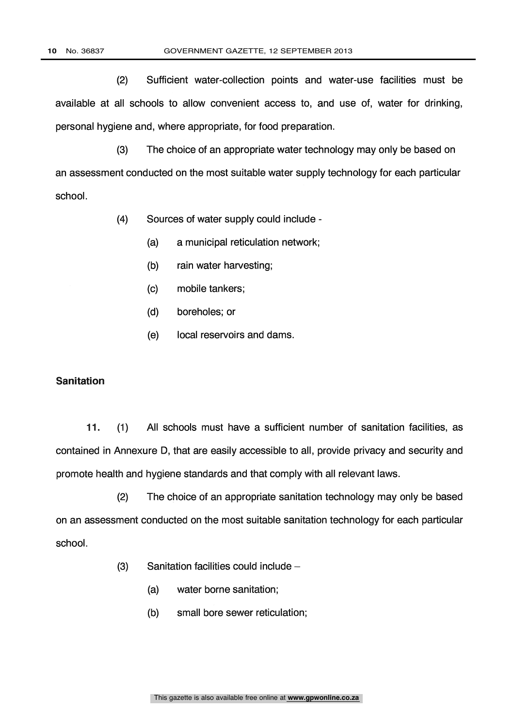(2) Sufficient water-collection points and water-use facilities must be available at all schools to allow convenient access to, and use of, water for drinking, personal hygiene and, where appropriate, for food preparation.

(3) The choice of an appropriate water technology may only be based on an assessment conducted on the most suitable water supply technology for each particular school.

- (4) Sources of water supply could include
	- (a) a municipal reticulation network;
	- (b) rain water harvesting;
	- (c) mobile tankers;
	- (d) boreholes; or
	- (e) local reservoirs and dams.

#### Sanitation

11. (1) All schools must have a sufficient number of sanitation facilities, as contained in Annexure D, that are easily accessible to all, provide privacy and security and promote health and hygiene standards and that comply with all relevant laws.

(2) The choice of an appropriate sanitation technology may only be based on an assessment conducted on the most suitable sanitation technology for each particular school.

- (3) Sanitation facilities could include  $-$ 
	- (a) water borne sanitation;
	- (b) small bore sewer reticulation;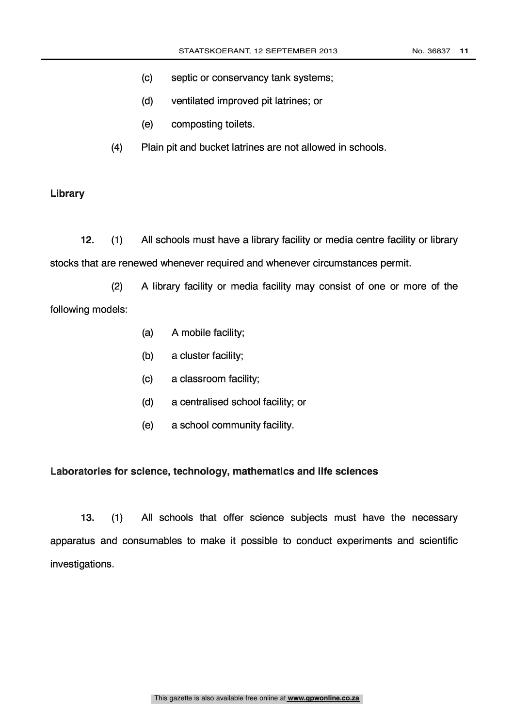- (c) septic or conservancy tank systems;
- (d) ventilated improved pit latrines; or
- (e) composting toilets.
- (4) Plain pit and bucket latrines are not allowed in schools.

#### Library

12. (1) All schools must have a library facility or media centre facility or library stocks that are renewed whenever required and whenever circumstances permit.

(2) A library facility or media facility may consist of one or more of the following models:

- (a) A mobile facility;
- (b) a cluster facility;
- (c) a classroom facility;
- (d) a centralised school facility; or
- (e) a school community facility.

#### Laboratories for science, technology, mathematics and life sciences

13. (1) All schools that offer science subjects must have the necessary apparatus and consumables to make it possible to conduct experiments and scientific investigations.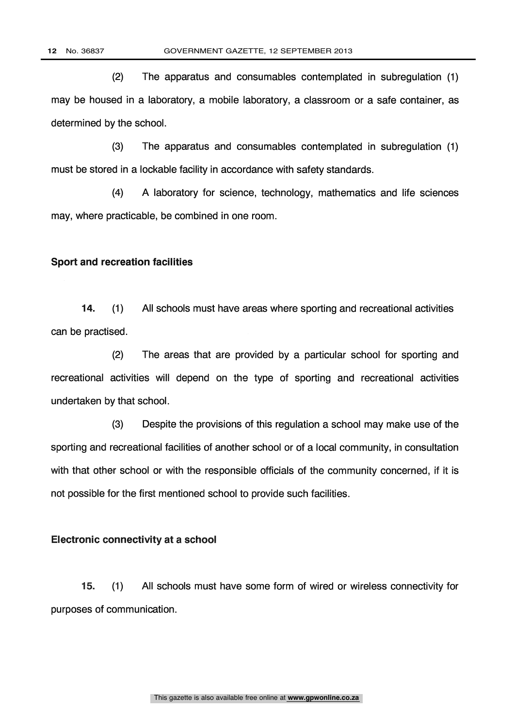(2) The apparatus and consumables contemplated in subregulation (1) may be housed in a laboratory, a mobile laboratory, a classroom or a safe container, as determined by the school.

(3) The apparatus and consumables contemplated in subregulation (1) must be stored in a lockable facility in accordance with safety standards.

(4) A laboratory for science, technology, mathematics and life sciences may, where practicable, be combined in one room.

#### Sport and recreation facilities

14. (1) All schools must have areas where sporting and recreational activities can be practised.

(2) The areas that are provided by a particular school for sporting and recreational activities will depend on the type of sporting and recreational activities undertaken by that school.

(3) Despite the provisions of this regulation a school may make use of the sporting and recreational facilities of another school or of a local community, in consultation with that other school or with the responsible officials of the community concerned, if it is not possible for the first mentioned school to provide such facilities.

#### Electronic connectivity at a school

15. (1) All schools must have some form of wired or wireless connectivity for purposes of communication.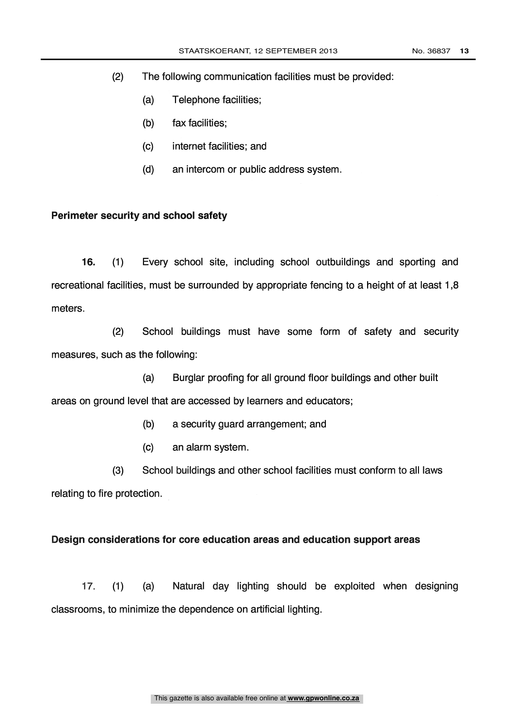- (2) The following communication facilities must be provided:
	- (a) Telephone facilities;
	- (b) fax facilities;
	- (c) internet facilities; and
	- (d) an intercom or public address system.

### Perimeter security and school safety

16. (1) Every school site, including school outbuildings and sporting and recreational facilities, must be surrounded by appropriate fencing to a height of at least 1,8 meters.

(2) School buildings must have some form of safety and security measures, such as the following:

(a) Burglar proofing for all ground floor buildings and other built areas on ground level that are accessed by learners and educators;

- (b) a security guard arrangement; and
- (c) an alarm system.

(3) School buildings and other school facilities must conform to all laws relating to fire protection.

#### Design considerations for core education areas and education support areas

17. (1) (a) Natural day lighting should be exploited when designing classrooms, to minimize the dependence on artificial lighting.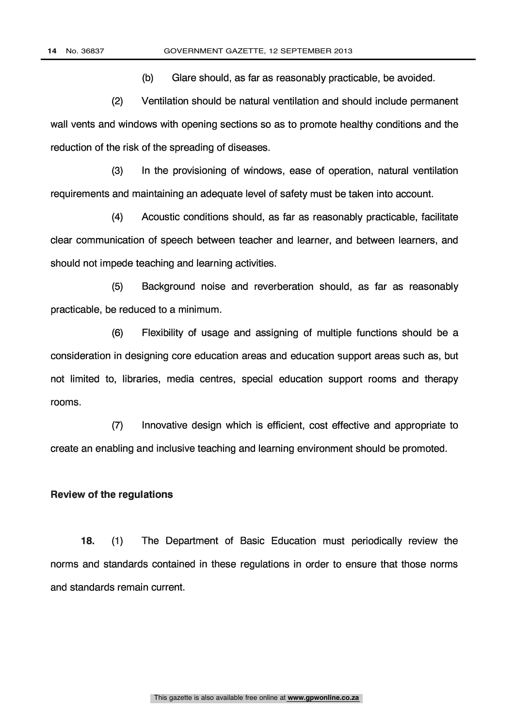(b) Glare should, as far as reasonably practicable, be avoided.

(2) Ventilation should be natural ventilation and should include permanent wall vents and windows with opening sections so as to promote healthy conditions and the reduction of the risk of the spreading of diseases.

(3) In the provisioning of windows, ease of operation, natural ventilation requirements and maintaining an adequate level of safety must be taken into account.

(4) Acoustic conditions should, as far as reasonably practicable, facilitate clear communication of speech between teacher and learner, and between learners, and should not impede teaching and learning activities.

(5) Background noise and reverberation should, as far as reasonably practicable, be reduced to a minimum.

(6) Flexibility of usage and assigning of multiple functions should be a consideration in designing core education areas and education support areas such as, but not limited to, libraries, media centres, special education support rooms and therapy rooms.

(7) Innovative design which is efficient, cost effective and appropriate to create an enabling and inclusive teaching and learning environment should be promoted.

#### Review of the regulations

18. (1) The Department of Basic Education must periodically review the norms and standards contained in these regulations in order to ensure that those norms and standards remain current.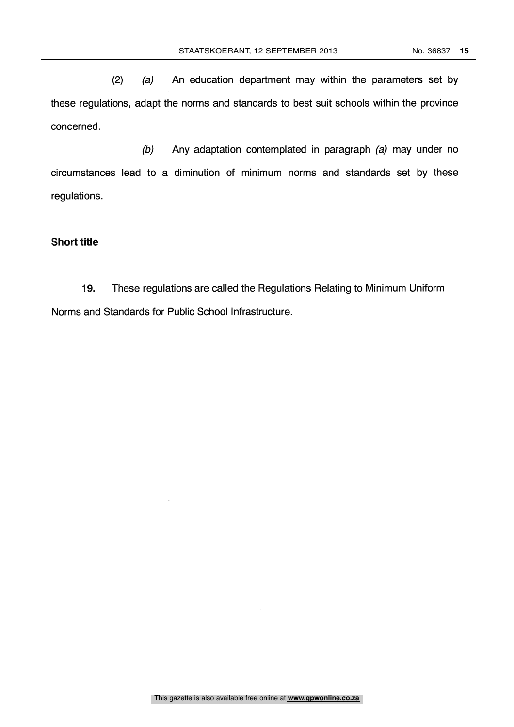(2) (a) An education department may within the parameters set by these regulations, adapt the norms and standards to best suit schools within the province concerned.

(b) Any adaptation contemplated in paragraph (a) may under no circumstances lead to a diminution of minimum norms and standards set by these regulations.

## Short title

19. These regulations are called the Regulations Relating to Minimum Uniform Norms and Standards for Public School Infrastructure.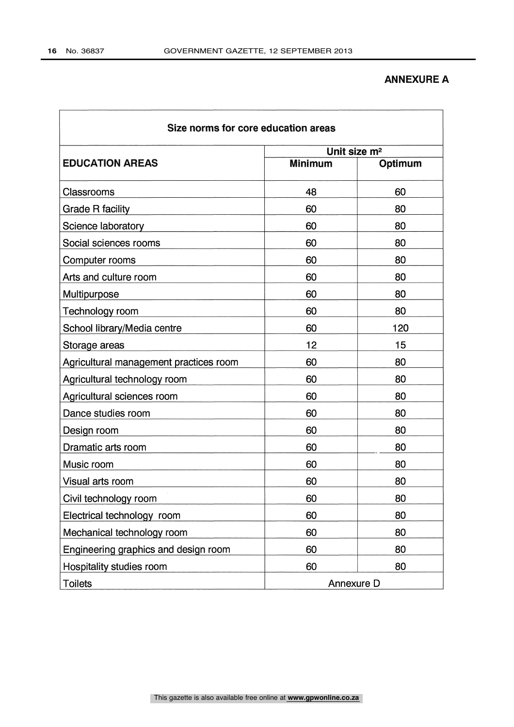### ANNEXURE A

 $\overline{1}$ 

| Size norms for core education areas    |                          |         |
|----------------------------------------|--------------------------|---------|
|                                        | Unit size m <sup>2</sup> |         |
| <b>EDUCATION AREAS</b>                 | <b>Minimum</b>           | Optimum |
| Classrooms                             | 48                       | 60      |
| <b>Grade R facility</b>                | 60                       | 80      |
| Science laboratory                     | 60                       | 80      |
| Social sciences rooms                  | 60                       | 80      |
| Computer rooms                         | 60                       | 80      |
| Arts and culture room                  | 60                       | 80      |
| Multipurpose                           | 60                       | 80      |
| Technology room                        | 60                       | 80      |
| School library/Media centre            | 60                       | 120     |
| Storage areas                          | 12                       | 15      |
| Agricultural management practices room | 60                       | 80      |
| Agricultural technology room           | 60                       | 80      |
| Agricultural sciences room             | 60                       | 80      |
| Dance studies room                     | 60                       | 80      |
| Design room                            | 60                       | 80      |
| Dramatic arts room                     | 60                       | 80      |
| Music room                             | 60                       | 80      |
| Visual arts room<br>60<br>80           |                          |         |
| Civil technology room                  | 60                       | 80      |
| Electrical technology room             | 60                       | 80      |
| Mechanical technology room             | 60                       | 80      |
| Engineering graphics and design room   | 60                       | 80      |
| Hospitality studies room               | 60                       | 80      |
| <b>Toilets</b>                         | Annexure D               |         |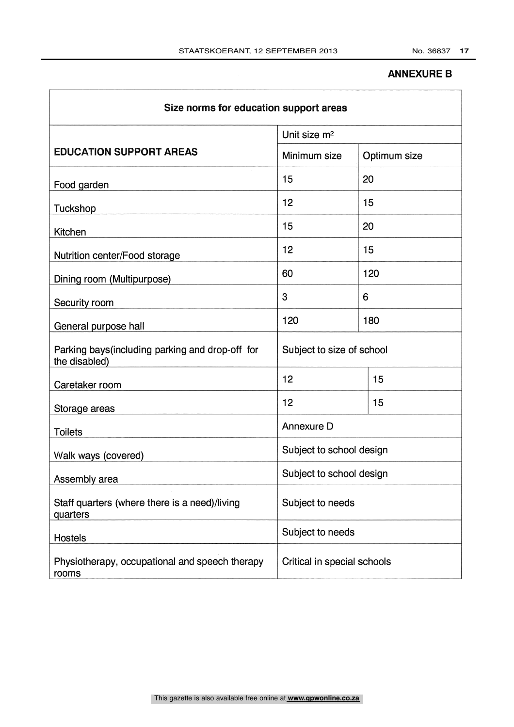# ANNEXURE B

| Size norms for education support areas                            |                             |              |
|-------------------------------------------------------------------|-----------------------------|--------------|
|                                                                   | Unit size m <sup>2</sup>    |              |
| <b>EDUCATION SUPPORT AREAS</b>                                    | Minimum size                | Optimum size |
| Food garden                                                       | 15                          | 20           |
| Tuckshop                                                          | 12                          | 15           |
| Kitchen                                                           | 15                          | 20           |
| Nutrition center/Food storage                                     | 12                          | 15           |
| Dining room (Multipurpose)                                        | 60                          | 120          |
| Security room                                                     | 3                           | 6            |
| General purpose hall                                              | 120                         | 180          |
| Parking bays (including parking and drop-off for<br>the disabled) | Subject to size of school   |              |
| Caretaker room                                                    | 12                          | 15           |
| Storage areas                                                     | 12                          | 15           |
| <b>Toilets</b>                                                    | Annexure D                  |              |
| Walk ways (covered)                                               | Subject to school design    |              |
| Assembly area                                                     | Subject to school design    |              |
| Staff quarters (where there is a need)/living<br>quarters         | Subject to needs            |              |
| <b>Hostels</b>                                                    | Subject to needs            |              |
| Physiotherapy, occupational and speech therapy<br>rooms           | Critical in special schools |              |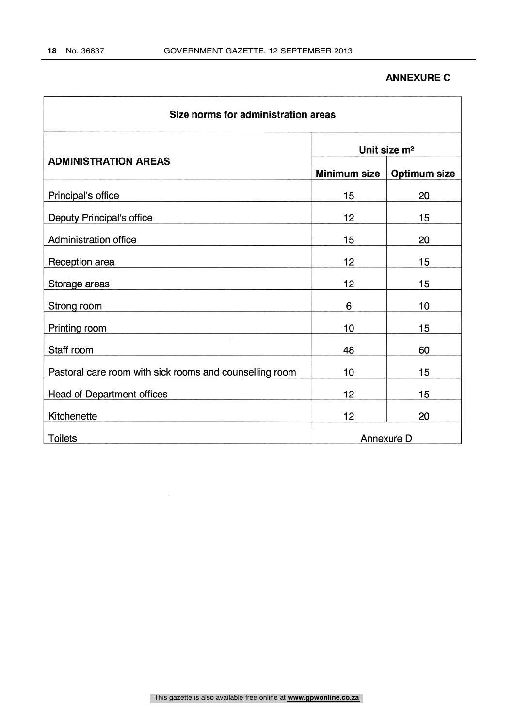$\overline{1}$ 

### ANNEXURE C

 $\overline{\phantom{0}}$ 

| Size norms for administration areas                     |                     |                          |
|---------------------------------------------------------|---------------------|--------------------------|
|                                                         |                     | Unit size m <sup>2</sup> |
| <b>ADMINISTRATION AREAS</b>                             | <b>Minimum size</b> | Optimum size             |
| Principal's office                                      | 15                  | 20                       |
| Deputy Principal's office                               | 12                  | 15                       |
| Administration office                                   | 15                  | 20                       |
| Reception area                                          | 12                  | 15                       |
| Storage areas                                           | 12                  | 15                       |
| Strong room                                             | 6                   | 10                       |
| Printing room                                           | 10                  | 15                       |
| Staff room                                              | 48                  | 60                       |
| Pastoral care room with sick rooms and counselling room | 10                  | 15                       |
| <b>Head of Department offices</b>                       | 12                  | 15                       |
| Kitchenette                                             | 12                  | 20                       |
| <b>Toilets</b>                                          |                     | Annexure D               |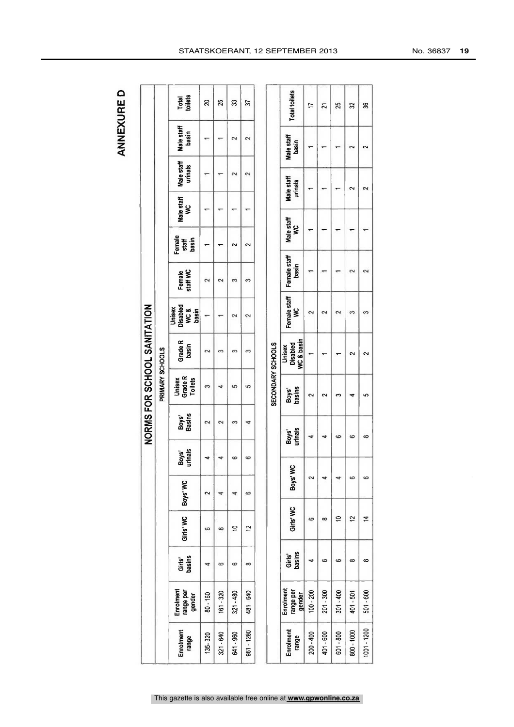| L      |  |
|--------|--|
| ٦<br>ł |  |
|        |  |
|        |  |
| L      |  |
| ٠      |  |

|                    |                                  |                  |                |          |                  |                  | NORMS FOR SCHOOL SANITATION         |                                  |                                     |                       |                          |                          |                       |                          |                            |
|--------------------|----------------------------------|------------------|----------------|----------|------------------|------------------|-------------------------------------|----------------------------------|-------------------------------------|-----------------------|--------------------------|--------------------------|-----------------------|--------------------------|----------------------------|
|                    |                                  |                  |                |          |                  |                  | PRIMARY SCHOOLS                     |                                  |                                     |                       |                          |                          |                       |                          |                            |
| Enrolment<br>range | Enrolment<br>range per<br>gender | Girls'<br>basins | Girls' WC      | Boys' WC | Boys'<br>urinals | Boys'<br>Basins  | <b>Grade R</b><br>Unisex<br>Toilets | Grade R<br>basin                 | Disabled<br>WC &<br>Unisex<br>basin | Female<br>staff WC    | Female<br>staff<br>basin | Male staff<br>WC         | Male staff<br>urinals | Male staff<br>basin      | Total<br>toilets           |
| 135-320            | 80 - 160                         | 4                | 6              | 2        | 4                | 2                | S                                   | 2                                | $\overline{\phantom{0}}$            | 2                     |                          | $\overline{\phantom{0}}$ |                       | $\overline{\phantom{0}}$ | 20                         |
| $321 - 640$        | $161 - 320$                      | 6                | $\infty$       | 4        | 4                | 2                | 4                                   | 3                                |                                     | 2                     |                          |                          |                       |                          | 25                         |
| 641-960            | $321 - 480$                      | 6                | $\overline{a}$ | 4        | 6                | 3                | 5                                   | 3                                | 2                                   | 3                     | 2                        |                          | 2                     | 2                        | 33                         |
| $961 - 1280$       | 481 - 640                        | $\infty$         | $\overline{2}$ | $\circ$  | 6                | 4                | 5                                   | 3                                | 2                                   | 3                     | $\sim$                   |                          | $\sim$                | $\sim$                   | 22                         |
|                    |                                  |                  |                |          |                  |                  | SECONDARY SCHOOLS                   |                                  |                                     |                       |                          |                          |                       |                          |                            |
| Enrolment<br>range | Enrolment<br>range per<br>gender | Girls'<br>basins | Girls' WC      |          | Boys' WC         | Boys'<br>urinals | Boys'<br>basins                     | Disabled<br>WC & basin<br>Unisex | Female staff<br>š                   | Female staff<br>basin | Male staff<br>š          |                          | Male staff<br>urinals | Male staff<br>basin      | <b>Total toilets</b>       |
| $200 - 400$        | $100 - 200$                      | 4                | 6              |          | 2                | 4                | 2                                   |                                  | 2                                   |                       |                          |                          |                       |                          | 17                         |
| 401 - 600          | 201 - 300                        | 6                | $\infty$       |          | 4                | 4                | $\sim$                              |                                  | 2                                   |                       |                          |                          |                       |                          | 21                         |
| 601 - 800          | $301 - 400$                      | $\circ$          | $\tilde{a}$    |          | 4                | 6                | S                                   |                                  | 2                                   |                       |                          |                          |                       |                          | 25                         |
| 800 - 1000         | 401 - 501                        | $\infty$         | 12             |          | $\circ$          | 6                | 4                                   | $\sim$                           | 3                                   | 2                     |                          |                          | $\mathbf{\tilde{c}}$  | $\sim$                   | $\boldsymbol{\mathcal{Z}}$ |
| 1001 - 1200        | $501 - 600$                      | $\infty$         | $\overline{4}$ |          | 6                | $\infty$         | 5                                   | $\sim$                           | 3                                   | 2                     |                          |                          | 2                     | $\sim$                   | 36                         |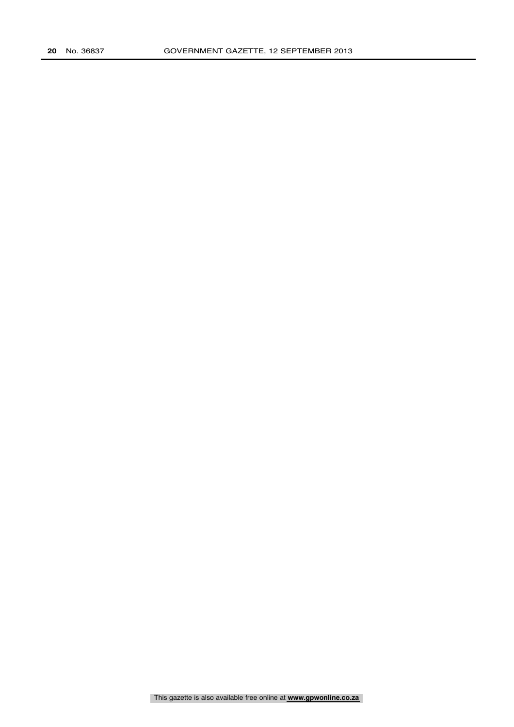This gazette is also available free online at **www.gpwonline.co.za**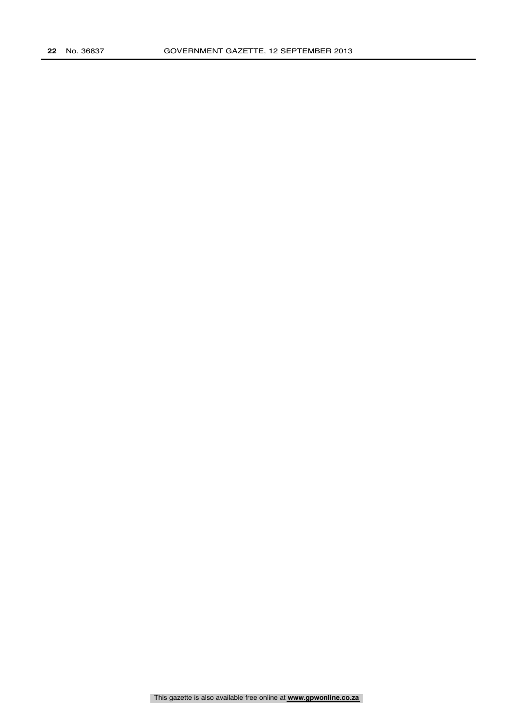This gazette is also available free online at **www.gpwonline.co.za**